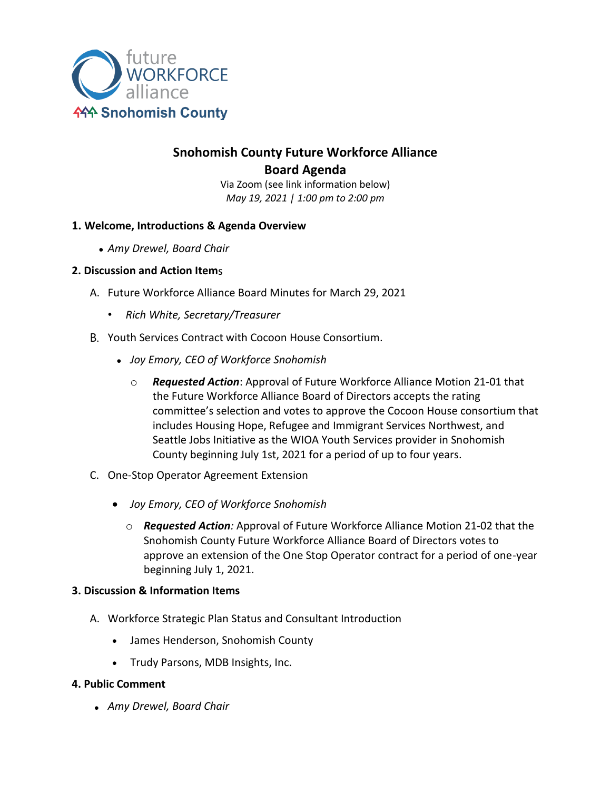

# **Snohomish County Future Workforce Alliance Board Agenda**

Via Zoom (see link information below) *May 19, 2021 | 1:00 pm to 2:00 pm*

# **1. Welcome, Introductions & Agenda Overview**

• *Amy Drewel, Board Chair*

### **2. Discussion and Action Item**s

- A. Future Workforce Alliance Board Minutes for March 29, 2021
	- *Rich White, Secretary/Treasurer*
- B. Youth Services Contract with Cocoon House Consortium.
	- *Joy Emory, CEO of Workforce Snohomish*
		- o *Requested Action*: Approval of Future Workforce Alliance Motion 21-01 that the Future Workforce Alliance Board of Directors accepts the rating committee's selection and votes to approve the Cocoon House consortium that includes Housing Hope, Refugee and Immigrant Services Northwest, and Seattle Jobs Initiative as the WIOA Youth Services provider in Snohomish County beginning July 1st, 2021 for a period of up to four years.
- C. One-Stop Operator Agreement Extension
	- *Joy Emory, CEO of Workforce Snohomish*
		- o *Requested Action:* Approval of Future Workforce Alliance Motion 21-02 that the Snohomish County Future Workforce Alliance Board of Directors votes to approve an extension of the One Stop Operator contract for a period of one-year beginning July 1, 2021.

### **3. Discussion & Information Items**

- A. Workforce Strategic Plan Status and Consultant Introduction
	- James Henderson, Snohomish County
	- Trudy Parsons, MDB Insights, Inc.

### **4. Public Comment**

• *Amy Drewel, Board Chair*